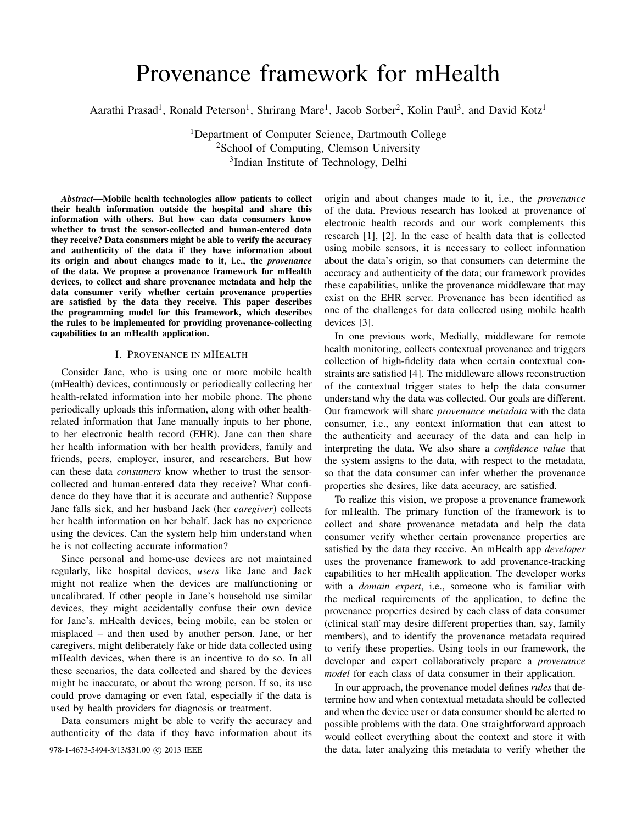# Provenance framework for mHealth

Aarathi Prasad<sup>1</sup>, Ronald Peterson<sup>1</sup>, Shrirang Mare<sup>1</sup>, Jacob Sorber<sup>2</sup>, Kolin Paul<sup>3</sup>, and David Kotz<sup>1</sup>

<sup>1</sup>Department of Computer Science, Dartmouth College <sup>2</sup>School of Computing, Clemson University <sup>3</sup>Indian Institute of Technology, Delhi

*Abstract*—Mobile health technologies allow patients to collect their health information outside the hospital and share this information with others. But how can data consumers know whether to trust the sensor-collected and human-entered data they receive? Data consumers might be able to verify the accuracy and authenticity of the data if they have information about its origin and about changes made to it, i.e., the *provenance* of the data. We propose a provenance framework for mHealth devices, to collect and share provenance metadata and help the data consumer verify whether certain provenance properties are satisfied by the data they receive. This paper describes the programming model for this framework, which describes the rules to be implemented for providing provenance-collecting capabilities to an mHealth application.

#### I. PROVENANCE IN MHEALTH

Consider Jane, who is using one or more mobile health (mHealth) devices, continuously or periodically collecting her health-related information into her mobile phone. The phone periodically uploads this information, along with other healthrelated information that Jane manually inputs to her phone, to her electronic health record (EHR). Jane can then share her health information with her health providers, family and friends, peers, employer, insurer, and researchers. But how can these data *consumers* know whether to trust the sensorcollected and human-entered data they receive? What confidence do they have that it is accurate and authentic? Suppose Jane falls sick, and her husband Jack (her *caregiver*) collects her health information on her behalf. Jack has no experience using the devices. Can the system help him understand when he is not collecting accurate information?

Since personal and home-use devices are not maintained regularly, like hospital devices, *users* like Jane and Jack might not realize when the devices are malfunctioning or uncalibrated. If other people in Jane's household use similar devices, they might accidentally confuse their own device for Jane's. mHealth devices, being mobile, can be stolen or misplaced – and then used by another person. Jane, or her caregivers, might deliberately fake or hide data collected using mHealth devices, when there is an incentive to do so. In all these scenarios, the data collected and shared by the devices might be inaccurate, or about the wrong person. If so, its use could prove damaging or even fatal, especially if the data is used by health providers for diagnosis or treatment.

Data consumers might be able to verify the accuracy and authenticity of the data if they have information about its

origin and about changes made to it, i.e., the *provenance* of the data. Previous research has looked at provenance of electronic health records and our work complements this research [1], [2]. In the case of health data that is collected using mobile sensors, it is necessary to collect information about the data's origin, so that consumers can determine the accuracy and authenticity of the data; our framework provides these capabilities, unlike the provenance middleware that may exist on the EHR server. Provenance has been identified as one of the challenges for data collected using mobile health devices [3].

In one previous work, Medially, middleware for remote health monitoring, collects contextual provenance and triggers collection of high-fidelity data when certain contextual constraints are satisfied [4]. The middleware allows reconstruction of the contextual trigger states to help the data consumer understand why the data was collected. Our goals are different. Our framework will share *provenance metadata* with the data consumer, i.e., any context information that can attest to the authenticity and accuracy of the data and can help in interpreting the data. We also share a *confidence value* that the system assigns to the data, with respect to the metadata, so that the data consumer can infer whether the provenance properties she desires, like data accuracy, are satisfied.

To realize this vision, we propose a provenance framework for mHealth. The primary function of the framework is to collect and share provenance metadata and help the data consumer verify whether certain provenance properties are satisfied by the data they receive. An mHealth app *developer* uses the provenance framework to add provenance-tracking capabilities to her mHealth application. The developer works with a *domain expert*, i.e., someone who is familiar with the medical requirements of the application, to define the provenance properties desired by each class of data consumer (clinical staff may desire different properties than, say, family members), and to identify the provenance metadata required to verify these properties. Using tools in our framework, the developer and expert collaboratively prepare a *provenance model* for each class of data consumer in their application.

In our approach, the provenance model defines *rules* that determine how and when contextual metadata should be collected and when the device user or data consumer should be alerted to possible problems with the data. One straightforward approach would collect everything about the context and store it with 978-1-4673-5494-3/13/\$31.00  $\odot$  2013 IEEE the data, later analyzing this metadata to verify whether the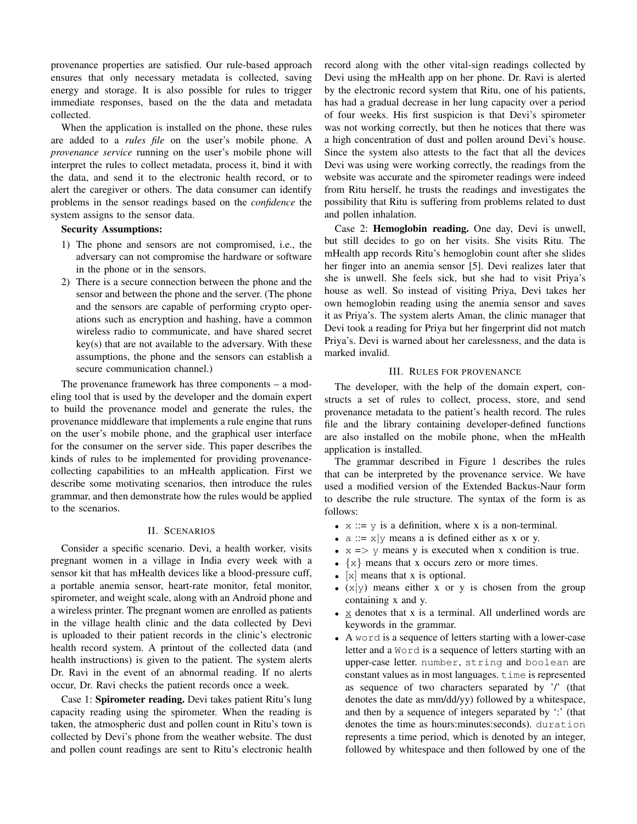provenance properties are satisfied. Our rule-based approach ensures that only necessary metadata is collected, saving energy and storage. It is also possible for rules to trigger immediate responses, based on the the data and metadata collected.

When the application is installed on the phone, these rules are added to a *rules file* on the user's mobile phone. A *provenance service* running on the user's mobile phone will interpret the rules to collect metadata, process it, bind it with the data, and send it to the electronic health record, or to alert the caregiver or others. The data consumer can identify problems in the sensor readings based on the *confidence* the system assigns to the sensor data.

## Security Assumptions:

- 1) The phone and sensors are not compromised, i.e., the adversary can not compromise the hardware or software in the phone or in the sensors.
- 2) There is a secure connection between the phone and the sensor and between the phone and the server. (The phone and the sensors are capable of performing crypto operations such as encryption and hashing, have a common wireless radio to communicate, and have shared secret key(s) that are not available to the adversary. With these assumptions, the phone and the sensors can establish a secure communication channel.)

The provenance framework has three components – a modeling tool that is used by the developer and the domain expert to build the provenance model and generate the rules, the provenance middleware that implements a rule engine that runs on the user's mobile phone, and the graphical user interface for the consumer on the server side. This paper describes the kinds of rules to be implemented for providing provenancecollecting capabilities to an mHealth application. First we describe some motivating scenarios, then introduce the rules grammar, and then demonstrate how the rules would be applied to the scenarios.

#### II. SCENARIOS

Consider a specific scenario. Devi, a health worker, visits pregnant women in a village in India every week with a sensor kit that has mHealth devices like a blood-pressure cuff, a portable anemia sensor, heart-rate monitor, fetal monitor, spirometer, and weight scale, along with an Android phone and a wireless printer. The pregnant women are enrolled as patients in the village health clinic and the data collected by Devi is uploaded to their patient records in the clinic's electronic health record system. A printout of the collected data (and health instructions) is given to the patient. The system alerts Dr. Ravi in the event of an abnormal reading. If no alerts occur, Dr. Ravi checks the patient records once a week.

Case 1: Spirometer reading. Devi takes patient Ritu's lung capacity reading using the spirometer. When the reading is taken, the atmospheric dust and pollen count in Ritu's town is collected by Devi's phone from the weather website. The dust and pollen count readings are sent to Ritu's electronic health record along with the other vital-sign readings collected by Devi using the mHealth app on her phone. Dr. Ravi is alerted by the electronic record system that Ritu, one of his patients, has had a gradual decrease in her lung capacity over a period of four weeks. His first suspicion is that Devi's spirometer was not working correctly, but then he notices that there was a high concentration of dust and pollen around Devi's house. Since the system also attests to the fact that all the devices Devi was using were working correctly, the readings from the website was accurate and the spirometer readings were indeed from Ritu herself, he trusts the readings and investigates the possibility that Ritu is suffering from problems related to dust and pollen inhalation.

Case 2: Hemoglobin reading. One day, Devi is unwell, but still decides to go on her visits. She visits Ritu. The mHealth app records Ritu's hemoglobin count after she slides her finger into an anemia sensor [5]. Devi realizes later that she is unwell. She feels sick, but she had to visit Priya's house as well. So instead of visiting Priya, Devi takes her own hemoglobin reading using the anemia sensor and saves it as Priya's. The system alerts Aman, the clinic manager that Devi took a reading for Priya but her fingerprint did not match Priya's. Devi is warned about her carelessness, and the data is marked invalid.

#### III. RULES FOR PROVENANCE

The developer, with the help of the domain expert, constructs a set of rules to collect, process, store, and send provenance metadata to the patient's health record. The rules file and the library containing developer-defined functions are also installed on the mobile phone, when the mHealth application is installed.

The grammar described in Figure 1 describes the rules that can be interpreted by the provenance service. We have used a modified version of the Extended Backus-Naur form to describe the rule structure. The syntax of the form is as follows:

- $x ::= y$  is a definition, where x is a non-terminal.
- a  $::= x|y$  means a is defined either as x or y.
- $x \Rightarrow y$  means y is executed when x condition is true.
- $\{x\}$  means that x occurs zero or more times.
- $[x]$  means that x is optional.
- $(x|y)$  means either x or y is chosen from the group containing x and y.
- $\times$  denotes that x is a terminal. All underlined words are keywords in the grammar.
- A word is a sequence of letters starting with a lower-case letter and a Word is a sequence of letters starting with an upper-case letter. number, string and boolean are constant values as in most languages. time is represented as sequence of two characters separated by '/' (that denotes the date as mm/dd/yy) followed by a whitespace, and then by a sequence of integers separated by ':' (that denotes the time as hours:minutes:seconds). duration represents a time period, which is denoted by an integer, followed by whitespace and then followed by one of the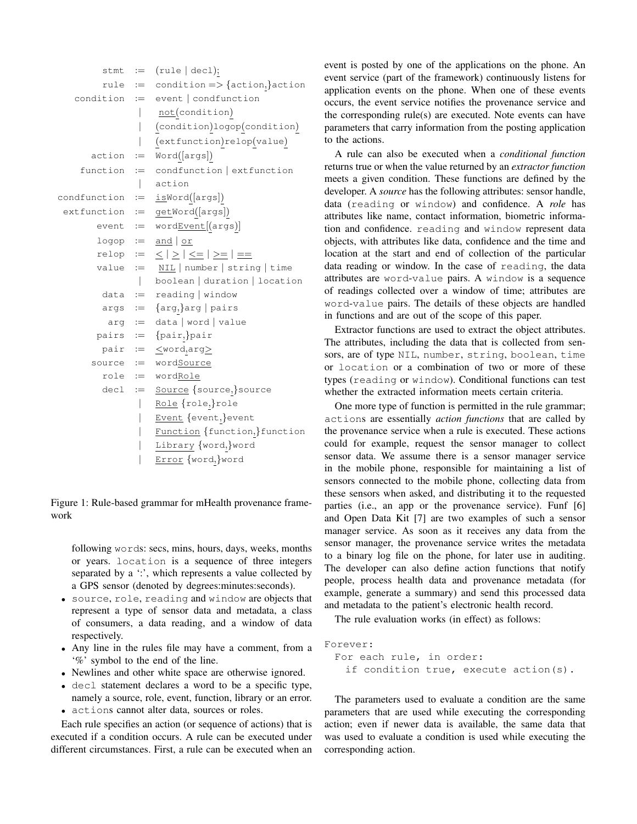|              | stmt := $(rule   decl);$                                  |
|--------------|-----------------------------------------------------------|
|              | rule := condition => {action,}action                      |
|              | condition $:=$ event condfunction                         |
|              | not(condition)                                            |
| I            | (condition)logop(condition)                               |
|              | (extfunction)relop(value)                                 |
|              | $action := Word([args])$                                  |
|              | $function := condition  extfunction$                      |
|              | action                                                    |
|              | condfunction := isWord([args])                            |
|              | $extfunction := getWord([args])$                          |
|              | event := wordEvent[(args)]                                |
|              | $logop := and  or$                                        |
|              | relop := $\leq$ $\geq$ $\leq$ $\leq$ $\geq$ $\geq$ $=$    |
|              | value $:=$ NIL   number   string   time                   |
|              | boolean   duration   location                             |
|              | $data := reading   window$                                |
|              | $args := \{arg, \}arg   pairs$                            |
|              | $arg := data   word   value$                              |
|              | pairs $:=$ {pair,}pair                                    |
|              | pair $:= \leq$ word, arg $\geq$                           |
|              | source := wordSource                                      |
|              | role := wordRole                                          |
|              | $\text{decl} := \text{Source} \{\text{source}, \}$ source |
| $\mathbf{I}$ | Role {role,}role                                          |
|              | Event {event,}event                                       |
|              | <b>Function</b> {function,}function                       |
|              | Library {word,}word                                       |
|              | Error {word,}word                                         |

Figure 1: Rule-based grammar for mHealth provenance framework

following words: secs, mins, hours, days, weeks, months or years. location is a sequence of three integers separated by a ':', which represents a value collected by a GPS sensor (denoted by degrees:minutes:seconds).

- source, role, reading and window are objects that represent a type of sensor data and metadata, a class of consumers, a data reading, and a window of data respectively.
- Any line in the rules file may have a comment, from a '%' symbol to the end of the line.
- Newlines and other white space are otherwise ignored.
- decl statement declares a word to be a specific type, namely a source, role, event, function, library or an error.
- actions cannot alter data, sources or roles.

Each rule specifies an action (or sequence of actions) that is executed if a condition occurs. A rule can be executed under different circumstances. First, a rule can be executed when an

event is posted by one of the applications on the phone. An event service (part of the framework) continuously listens for application events on the phone. When one of these events occurs, the event service notifies the provenance service and the corresponding rule(s) are executed. Note events can have parameters that carry information from the posting application to the actions.

A rule can also be executed when a *conditional function* returns true or when the value returned by an *extractor function* meets a given condition. These functions are defined by the developer. A *source* has the following attributes: sensor handle, data (reading or window) and confidence. A *role* has attributes like name, contact information, biometric information and confidence. reading and window represent data objects, with attributes like data, confidence and the time and location at the start and end of collection of the particular data reading or window. In the case of reading, the data attributes are word-value pairs. A window is a sequence of readings collected over a window of time; attributes are word-value pairs. The details of these objects are handled in functions and are out of the scope of this paper.

Extractor functions are used to extract the object attributes. The attributes, including the data that is collected from sensors, are of type NIL, number, string, boolean, time or location or a combination of two or more of these types (reading or window). Conditional functions can test whether the extracted information meets certain criteria.

One more type of function is permitted in the rule grammar; actions are essentially *action functions* that are called by the provenance service when a rule is executed. These actions could for example, request the sensor manager to collect sensor data. We assume there is a sensor manager service in the mobile phone, responsible for maintaining a list of sensors connected to the mobile phone, collecting data from these sensors when asked, and distributing it to the requested parties (i.e., an app or the provenance service). Funf [6] and Open Data Kit [7] are two examples of such a sensor manager service. As soon as it receives any data from the sensor manager, the provenance service writes the metadata to a binary log file on the phone, for later use in auditing. The developer can also define action functions that notify people, process health data and provenance metadata (for example, generate a summary) and send this processed data and metadata to the patient's electronic health record.

The rule evaluation works (in effect) as follows:

```
Forever:
 For each rule, in order:
   if condition true, execute action(s).
```
The parameters used to evaluate a condition are the same parameters that are used while executing the corresponding action; even if newer data is available, the same data that was used to evaluate a condition is used while executing the corresponding action.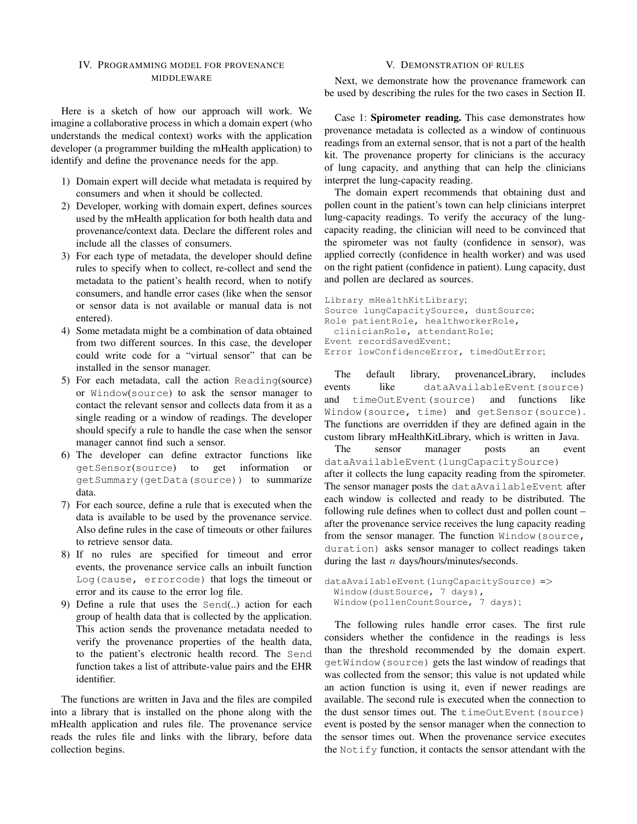## IV. PROGRAMMING MODEL FOR PROVENANCE MIDDI EWARE

Here is a sketch of how our approach will work. We imagine a collaborative process in which a domain expert (who understands the medical context) works with the application developer (a programmer building the mHealth application) to identify and define the provenance needs for the app.

- 1) Domain expert will decide what metadata is required by consumers and when it should be collected.
- 2) Developer, working with domain expert, defines sources used by the mHealth application for both health data and provenance/context data. Declare the different roles and include all the classes of consumers.
- 3) For each type of metadata, the developer should define rules to specify when to collect, re-collect and send the metadata to the patient's health record, when to notify consumers, and handle error cases (like when the sensor or sensor data is not available or manual data is not entered).
- 4) Some metadata might be a combination of data obtained from two different sources. In this case, the developer could write code for a "virtual sensor" that can be installed in the sensor manager.
- 5) For each metadata, call the action Reading(source) or Window(source) to ask the sensor manager to contact the relevant sensor and collects data from it as a single reading or a window of readings. The developer should specify a rule to handle the case when the sensor manager cannot find such a sensor.
- 6) The developer can define extractor functions like getSensor(source) to get information or getSummary(getData(source)) to summarize data.
- 7) For each source, define a rule that is executed when the data is available to be used by the provenance service. Also define rules in the case of timeouts or other failures to retrieve sensor data.
- 8) If no rules are specified for timeout and error events, the provenance service calls an inbuilt function Log(cause, errorcode) that logs the timeout or error and its cause to the error log file.
- 9) Define a rule that uses the Send(..) action for each group of health data that is collected by the application. This action sends the provenance metadata needed to verify the provenance properties of the health data, to the patient's electronic health record. The Send function takes a list of attribute-value pairs and the EHR identifier.

The functions are written in Java and the files are compiled into a library that is installed on the phone along with the mHealth application and rules file. The provenance service reads the rules file and links with the library, before data collection begins.

### V. DEMONSTRATION OF RULES

Next, we demonstrate how the provenance framework can be used by describing the rules for the two cases in Section II.

Case 1: Spirometer reading. This case demonstrates how provenance metadata is collected as a window of continuous readings from an external sensor, that is not a part of the health kit. The provenance property for clinicians is the accuracy of lung capacity, and anything that can help the clinicians interpret the lung-capacity reading.

The domain expert recommends that obtaining dust and pollen count in the patient's town can help clinicians interpret lung-capacity readings. To verify the accuracy of the lungcapacity reading, the clinician will need to be convinced that the spirometer was not faulty (confidence in sensor), was applied correctly (confidence in health worker) and was used on the right patient (confidence in patient). Lung capacity, dust and pollen are declared as sources.

```
Library mHealthKitLibrary;
Source lungCapacitySource, dustSource;
Role patientRole, healthworkerRole,
 clinicianRole, attendantRole;
Event recordSavedEvent;
Error lowConfidenceError, timedOutError;
```
The default library, provenanceLibrary, includes events like dataAvailableEvent(source) and timeOutEvent(source) and functions like Window(source, time) and getSensor(source). The functions are overridden if they are defined again in the custom library mHealthKitLibrary, which is written in Java.

The sensor manager posts an event dataAvailableEvent(lungCapacitySource) after it collects the lung capacity reading from the spirometer. The sensor manager posts the dataAvailableEvent after each window is collected and ready to be distributed. The following rule defines when to collect dust and pollen count – after the provenance service receives the lung capacity reading from the sensor manager. The function Window(source, duration) asks sensor manager to collect readings taken during the last  $n$  days/hours/minutes/seconds.

```
dataAvailableEvent(lungCapacitySource) =>
 Window(dustSource, 7 days),
 Window(pollenCountSource, 7 days);
```
The following rules handle error cases. The first rule considers whether the confidence in the readings is less than the threshold recommended by the domain expert. getWindow(source) gets the last window of readings that was collected from the sensor; this value is not updated while an action function is using it, even if newer readings are available. The second rule is executed when the connection to the dust sensor times out. The timeOutEvent(source) event is posted by the sensor manager when the connection to the sensor times out. When the provenance service executes the Notify function, it contacts the sensor attendant with the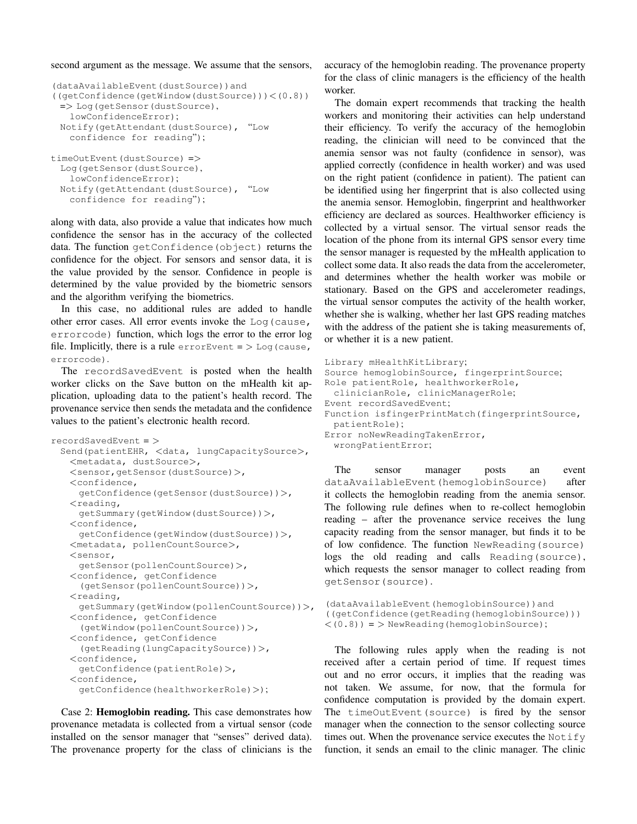#### second argument as the message. We assume that the sensors,

```
(dataAvailableEvent(dustSource))and
((getConfidence(getWindow(dustSource)))<(0.8))
 => Log(getSensor(dustSource),
   lowConfidenceError);
 Notify(getAttendant(dustSource), "Low
   confidence for reading");
timeOutEvent(dustSource) =>
 Log(getSensor(dustSource),
   lowConfidenceError);
 Notify(getAttendant(dustSource), "Low
   confidence for reading");
```
along with data, also provide a value that indicates how much confidence the sensor has in the accuracy of the collected data. The function getConfidence(object) returns the confidence for the object. For sensors and sensor data, it is the value provided by the sensor. Confidence in people is determined by the value provided by the biometric sensors and the algorithm verifying the biometrics.

In this case, no additional rules are added to handle other error cases. All error events invoke the Log(cause, errorcode) function, which logs the error to the error log file. Implicitly, there is a rule errorEvent  $=$  > Log (cause, errorcode).

The recordSavedEvent is posted when the health worker clicks on the Save button on the mHealth kit application, uploading data to the patient's health record. The provenance service then sends the metadata and the confidence values to the patient's electronic health record.

```
recordSavedEvent = >
 Send(patientEHR, <data, lungCapacitySource>,
   <metadata, dustSource>,
   <sensor,getSensor(dustSource)>,
   <confidence,
     getConfidence(getSensor(dustSource))>,
   <reading,
    getSummary(getWindow(dustSource))>,
   <confidence,
     getConfidence(getWindow(dustSource))>,
   <metadata, pollenCountSource>,
   <sensor,
     getSensor(pollenCountSource)>,
   <confidence, getConfidence
     (getSensor(pollenCountSource))>,
   <reading,
     getSummary(getWindow(pollenCountSource))>,
   <confidence, getConfidence
     (getWindow(pollenCountSource))>,
   <confidence, getConfidence
     (getReading(lungCapacitySource))>,
   <confidence,
     getConfidence(patientRole)>,
   <confidence,
     getConfidence(healthworkerRole)>);
```
Case 2: Hemoglobin reading. This case demonstrates how provenance metadata is collected from a virtual sensor (code installed on the sensor manager that "senses" derived data). The provenance property for the class of clinicians is the

accuracy of the hemoglobin reading. The provenance property for the class of clinic managers is the efficiency of the health worker.

The domain expert recommends that tracking the health workers and monitoring their activities can help understand their efficiency. To verify the accuracy of the hemoglobin reading, the clinician will need to be convinced that the anemia sensor was not faulty (confidence in sensor), was applied correctly (confidence in health worker) and was used on the right patient (confidence in patient). The patient can be identified using her fingerprint that is also collected using the anemia sensor. Hemoglobin, fingerprint and healthworker efficiency are declared as sources. Healthworker efficiency is collected by a virtual sensor. The virtual sensor reads the location of the phone from its internal GPS sensor every time the sensor manager is requested by the mHealth application to collect some data. It also reads the data from the accelerometer, and determines whether the health worker was mobile or stationary. Based on the GPS and accelerometer readings, the virtual sensor computes the activity of the health worker, whether she is walking, whether her last GPS reading matches with the address of the patient she is taking measurements of, or whether it is a new patient.

```
Library mHealthKitLibrary;
Source hemoglobinSource, fingerprintSource;
Role patientRole, healthworkerRole,
 clinicianRole, clinicManagerRole;
Event recordSavedEvent;
Function isfingerPrintMatch(fingerprintSource,
 patientRole);
Error noNewReadingTakenError,
 wrongPatientError;
```
The sensor manager posts an event dataAvailableEvent(hemoglobinSource) after it collects the hemoglobin reading from the anemia sensor. The following rule defines when to re-collect hemoglobin reading – after the provenance service receives the lung capacity reading from the sensor manager, but finds it to be of low confidence. The function NewReading(source) logs the old reading and calls Reading(source), which requests the sensor manager to collect reading from getSensor(source).

```
(dataAvailableEvent(hemoglobinSource))and
((getConfidence(getReading(hemoglobinSource)))
<(0.8)) = > NewReading (hemoglobinSource);
```
The following rules apply when the reading is not received after a certain period of time. If request times out and no error occurs, it implies that the reading was not taken. We assume, for now, that the formula for confidence computation is provided by the domain expert. The timeOutEvent(source) is fired by the sensor manager when the connection to the sensor collecting source times out. When the provenance service executes the Notify function, it sends an email to the clinic manager. The clinic